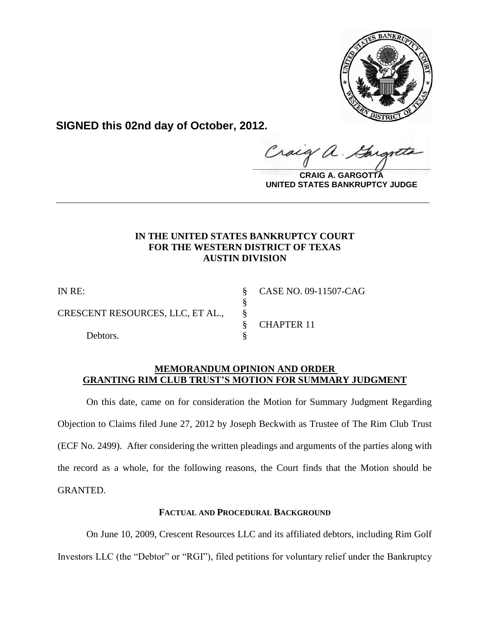

**SIGNED this 02nd day of October, 2012.**

raig  $\hat{\mathcal{A}}$ .  $\frac{1}{2}$ 

**CRAIG A. GARGOTTA UNITED STATES BANKRUPTCY JUDGE**

# **IN THE UNITED STATES BANKRUPTCY COURT FOR THE WESTERN DISTRICT OF TEXAS AUSTIN DIVISION**

**\_\_\_\_\_\_\_\_\_\_\_\_\_\_\_\_\_\_\_\_\_\_\_\_\_\_\_\_\_\_\_\_\_\_\_\_\_\_\_\_\_\_\_\_\_\_\_\_\_\_\_\_\_\_\_\_\_\_\_\_**

§

CRESCENT RESOURCES, LLC, ET AL., §

Debtors.

IN RE: § CASE NO. 09-11507-CAG § CHAPTER 11

# **MEMORANDUM OPINION AND ORDER GRANTING RIM CLUB TRUST'S MOTION FOR SUMMARY JUDGMENT**

On this date, came on for consideration the Motion for Summary Judgment Regarding Objection to Claims filed June 27, 2012 by Joseph Beckwith as Trustee of The Rim Club Trust (ECF No. 2499). After considering the written pleadings and arguments of the parties along with the record as a whole, for the following reasons, the Court finds that the Motion should be GRANTED.

# **FACTUAL AND PROCEDURAL BACKGROUND**

On June 10, 2009, Crescent Resources LLC and its affiliated debtors, including Rim Golf

Investors LLC (the "Debtor" or "RGI"), filed petitions for voluntary relief under the Bankruptcy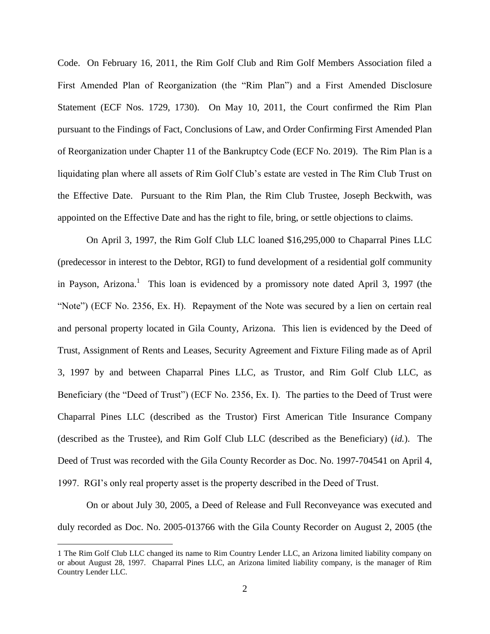Code. On February 16, 2011, the Rim Golf Club and Rim Golf Members Association filed a First Amended Plan of Reorganization (the "Rim Plan") and a First Amended Disclosure Statement (ECF Nos. 1729, 1730). On May 10, 2011, the Court confirmed the Rim Plan pursuant to the Findings of Fact, Conclusions of Law, and Order Confirming First Amended Plan of Reorganization under Chapter 11 of the Bankruptcy Code (ECF No. 2019). The Rim Plan is a liquidating plan where all assets of Rim Golf Club's estate are vested in The Rim Club Trust on the Effective Date. Pursuant to the Rim Plan, the Rim Club Trustee, Joseph Beckwith, was appointed on the Effective Date and has the right to file, bring, or settle objections to claims.

On April 3, 1997, the Rim Golf Club LLC loaned \$16,295,000 to Chaparral Pines LLC (predecessor in interest to the Debtor, RGI) to fund development of a residential golf community in Payson, Arizona. 1 This loan is evidenced by a promissory note dated April 3, 1997 (the "Note") (ECF No. 2356, Ex. H). Repayment of the Note was secured by a lien on certain real and personal property located in Gila County, Arizona. This lien is evidenced by the Deed of Trust, Assignment of Rents and Leases, Security Agreement and Fixture Filing made as of April 3, 1997 by and between Chaparral Pines LLC, as Trustor, and Rim Golf Club LLC, as Beneficiary (the "Deed of Trust") (ECF No. 2356, Ex. I). The parties to the Deed of Trust were Chaparral Pines LLC (described as the Trustor) First American Title Insurance Company (described as the Trustee), and Rim Golf Club LLC (described as the Beneficiary) (*id.*). The Deed of Trust was recorded with the Gila County Recorder as Doc. No. 1997-704541 on April 4, 1997. RGI's only real property asset is the property described in the Deed of Trust.

On or about July 30, 2005, a Deed of Release and Full Reconveyance was executed and duly recorded as Doc. No. 2005-013766 with the Gila County Recorder on August 2, 2005 (the

<sup>1</sup> The Rim Golf Club LLC changed its name to Rim Country Lender LLC, an Arizona limited liability company on or about August 28, 1997. Chaparral Pines LLC, an Arizona limited liability company, is the manager of Rim Country Lender LLC.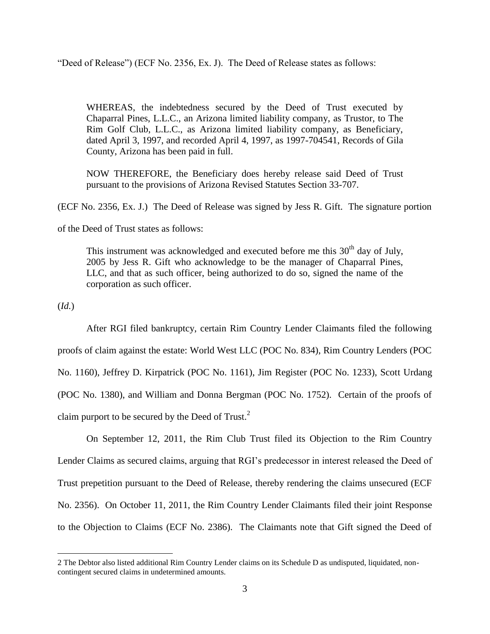"Deed of Release") (ECF No. 2356, Ex. J). The Deed of Release states as follows:

WHEREAS, the indebtedness secured by the Deed of Trust executed by Chaparral Pines, L.L.C., an Arizona limited liability company, as Trustor, to The Rim Golf Club, L.L.C., as Arizona limited liability company, as Beneficiary, dated April 3, 1997, and recorded April 4, 1997, as 1997-704541, Records of Gila County, Arizona has been paid in full.

NOW THEREFORE, the Beneficiary does hereby release said Deed of Trust pursuant to the provisions of Arizona Revised Statutes Section 33-707.

(ECF No. 2356, Ex. J.) The Deed of Release was signed by Jess R. Gift. The signature portion

of the Deed of Trust states as follows:

This instrument was acknowledged and executed before me this  $30<sup>th</sup>$  day of July, 2005 by Jess R. Gift who acknowledge to be the manager of Chaparral Pines, LLC, and that as such officer, being authorized to do so, signed the name of the corporation as such officer.

(*Id.*)

 $\overline{a}$ 

After RGI filed bankruptcy, certain Rim Country Lender Claimants filed the following proofs of claim against the estate: World West LLC (POC No. 834), Rim Country Lenders (POC No. 1160), Jeffrey D. Kirpatrick (POC No. 1161), Jim Register (POC No. 1233), Scott Urdang (POC No. 1380), and William and Donna Bergman (POC No. 1752). Certain of the proofs of claim purport to be secured by the Deed of Trust. $2$ 

On September 12, 2011, the Rim Club Trust filed its Objection to the Rim Country Lender Claims as secured claims, arguing that RGI's predecessor in interest released the Deed of Trust prepetition pursuant to the Deed of Release, thereby rendering the claims unsecured (ECF No. 2356). On October 11, 2011, the Rim Country Lender Claimants filed their joint Response to the Objection to Claims (ECF No. 2386). The Claimants note that Gift signed the Deed of

<sup>2</sup> The Debtor also listed additional Rim Country Lender claims on its Schedule D as undisputed, liquidated, noncontingent secured claims in undetermined amounts.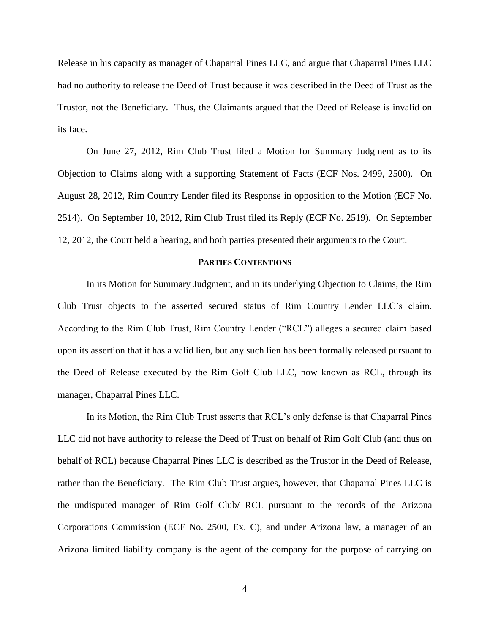Release in his capacity as manager of Chaparral Pines LLC, and argue that Chaparral Pines LLC had no authority to release the Deed of Trust because it was described in the Deed of Trust as the Trustor, not the Beneficiary. Thus, the Claimants argued that the Deed of Release is invalid on its face.

On June 27, 2012, Rim Club Trust filed a Motion for Summary Judgment as to its Objection to Claims along with a supporting Statement of Facts (ECF Nos. 2499, 2500). On August 28, 2012, Rim Country Lender filed its Response in opposition to the Motion (ECF No. 2514). On September 10, 2012, Rim Club Trust filed its Reply (ECF No. 2519). On September 12, 2012, the Court held a hearing, and both parties presented their arguments to the Court.

#### **PARTIES CONTENTIONS**

In its Motion for Summary Judgment, and in its underlying Objection to Claims, the Rim Club Trust objects to the asserted secured status of Rim Country Lender LLC's claim. According to the Rim Club Trust, Rim Country Lender ("RCL") alleges a secured claim based upon its assertion that it has a valid lien, but any such lien has been formally released pursuant to the Deed of Release executed by the Rim Golf Club LLC, now known as RCL, through its manager, Chaparral Pines LLC.

In its Motion, the Rim Club Trust asserts that RCL's only defense is that Chaparral Pines LLC did not have authority to release the Deed of Trust on behalf of Rim Golf Club (and thus on behalf of RCL) because Chaparral Pines LLC is described as the Trustor in the Deed of Release, rather than the Beneficiary. The Rim Club Trust argues, however, that Chaparral Pines LLC is the undisputed manager of Rim Golf Club/ RCL pursuant to the records of the Arizona Corporations Commission (ECF No. 2500, Ex. C), and under Arizona law, a manager of an Arizona limited liability company is the agent of the company for the purpose of carrying on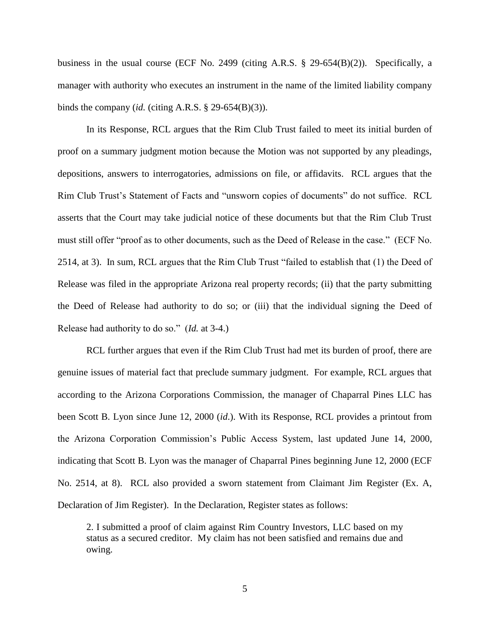business in the usual course (ECF No. 2499 (citing A.R.S. § 29-654(B)(2)). Specifically, a manager with authority who executes an instrument in the name of the limited liability company binds the company (*id.* (citing A.R.S.  $\S$  29-654(B)(3)).

In its Response, RCL argues that the Rim Club Trust failed to meet its initial burden of proof on a summary judgment motion because the Motion was not supported by any pleadings, depositions, answers to interrogatories, admissions on file, or affidavits. RCL argues that the Rim Club Trust's Statement of Facts and "unsworn copies of documents" do not suffice. RCL asserts that the Court may take judicial notice of these documents but that the Rim Club Trust must still offer "proof as to other documents, such as the Deed of Release in the case." (ECF No. 2514, at 3). In sum, RCL argues that the Rim Club Trust "failed to establish that (1) the Deed of Release was filed in the appropriate Arizona real property records; (ii) that the party submitting the Deed of Release had authority to do so; or (iii) that the individual signing the Deed of Release had authority to do so." (*Id.* at 3-4.)

RCL further argues that even if the Rim Club Trust had met its burden of proof, there are genuine issues of material fact that preclude summary judgment. For example, RCL argues that according to the Arizona Corporations Commission, the manager of Chaparral Pines LLC has been Scott B. Lyon since June 12, 2000 (*id*.). With its Response, RCL provides a printout from the Arizona Corporation Commission's Public Access System, last updated June 14, 2000, indicating that Scott B. Lyon was the manager of Chaparral Pines beginning June 12, 2000 (ECF No. 2514, at 8). RCL also provided a sworn statement from Claimant Jim Register (Ex. A, Declaration of Jim Register). In the Declaration, Register states as follows:

2. I submitted a proof of claim against Rim Country Investors, LLC based on my status as a secured creditor. My claim has not been satisfied and remains due and owing.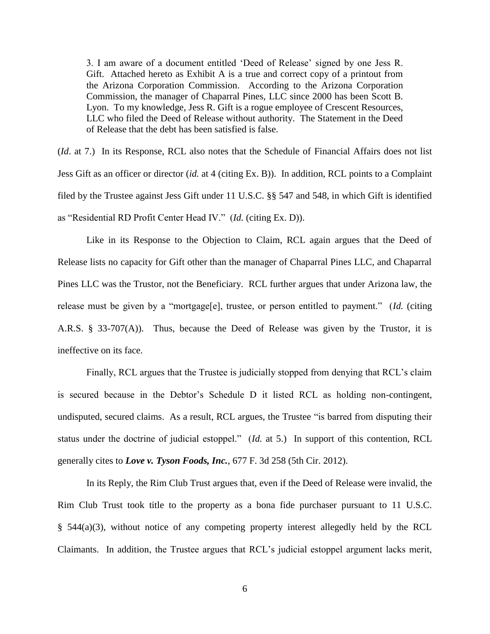3. I am aware of a document entitled 'Deed of Release' signed by one Jess R. Gift. Attached hereto as Exhibit A is a true and correct copy of a printout from the Arizona Corporation Commission. According to the Arizona Corporation Commission, the manager of Chaparral Pines, LLC since 2000 has been Scott B. Lyon. To my knowledge, Jess R. Gift is a rogue employee of Crescent Resources, LLC who filed the Deed of Release without authority. The Statement in the Deed of Release that the debt has been satisfied is false.

(*Id*. at 7.) In its Response, RCL also notes that the Schedule of Financial Affairs does not list Jess Gift as an officer or director (*id.* at 4 (citing Ex. B)). In addition, RCL points to a Complaint filed by the Trustee against Jess Gift under 11 U.S.C. §§ 547 and 548, in which Gift is identified as "Residential RD Profit Center Head IV." (*Id.* (citing Ex. D)).

Like in its Response to the Objection to Claim, RCL again argues that the Deed of Release lists no capacity for Gift other than the manager of Chaparral Pines LLC, and Chaparral Pines LLC was the Trustor, not the Beneficiary. RCL further argues that under Arizona law, the release must be given by a "mortgage[e], trustee, or person entitled to payment." (*Id.* (citing A.R.S. § 33-707(A)). Thus, because the Deed of Release was given by the Trustor, it is ineffective on its face.

Finally, RCL argues that the Trustee is judicially stopped from denying that RCL's claim is secured because in the Debtor's Schedule D it listed RCL as holding non-contingent, undisputed, secured claims. As a result, RCL argues, the Trustee "is barred from disputing their status under the doctrine of judicial estoppel." (*Id.* at 5.) In support of this contention, RCL generally cites to *Love v. Tyson Foods, Inc.*, 677 F. 3d 258 (5th Cir. 2012).

In its Reply, the Rim Club Trust argues that, even if the Deed of Release were invalid, the Rim Club Trust took title to the property as a bona fide purchaser pursuant to 11 U.S.C. § 544(a)(3), without notice of any competing property interest allegedly held by the RCL Claimants. In addition, the Trustee argues that RCL's judicial estoppel argument lacks merit,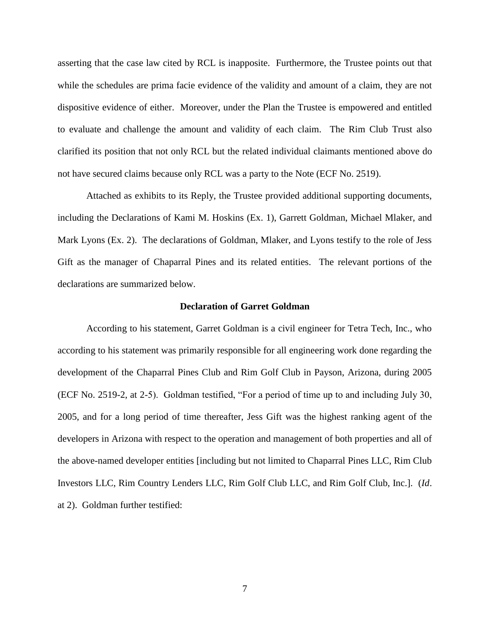asserting that the case law cited by RCL is inapposite. Furthermore, the Trustee points out that while the schedules are prima facie evidence of the validity and amount of a claim, they are not dispositive evidence of either. Moreover, under the Plan the Trustee is empowered and entitled to evaluate and challenge the amount and validity of each claim. The Rim Club Trust also clarified its position that not only RCL but the related individual claimants mentioned above do not have secured claims because only RCL was a party to the Note (ECF No. 2519).

Attached as exhibits to its Reply, the Trustee provided additional supporting documents, including the Declarations of Kami M. Hoskins (Ex. 1), Garrett Goldman, Michael Mlaker, and Mark Lyons (Ex. 2). The declarations of Goldman, Mlaker, and Lyons testify to the role of Jess Gift as the manager of Chaparral Pines and its related entities. The relevant portions of the declarations are summarized below.

### **Declaration of Garret Goldman**

According to his statement, Garret Goldman is a civil engineer for Tetra Tech, Inc., who according to his statement was primarily responsible for all engineering work done regarding the development of the Chaparral Pines Club and Rim Golf Club in Payson, Arizona, during 2005 (ECF No. 2519-2, at 2-5). Goldman testified, "For a period of time up to and including July 30, 2005, and for a long period of time thereafter, Jess Gift was the highest ranking agent of the developers in Arizona with respect to the operation and management of both properties and all of the above-named developer entities [including but not limited to Chaparral Pines LLC, Rim Club Investors LLC, Rim Country Lenders LLC, Rim Golf Club LLC, and Rim Golf Club, Inc.]. (*Id*. at 2). Goldman further testified: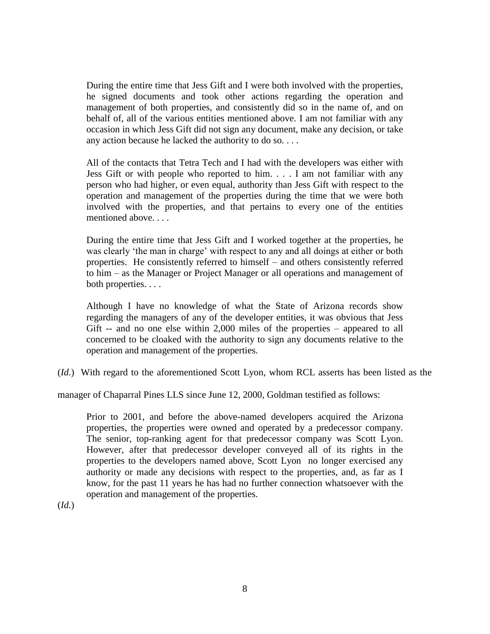During the entire time that Jess Gift and I were both involved with the properties, he signed documents and took other actions regarding the operation and management of both properties, and consistently did so in the name of, and on behalf of, all of the various entities mentioned above. I am not familiar with any occasion in which Jess Gift did not sign any document, make any decision, or take any action because he lacked the authority to do so. . . .

All of the contacts that Tetra Tech and I had with the developers was either with Jess Gift or with people who reported to him. . . . I am not familiar with any person who had higher, or even equal, authority than Jess Gift with respect to the operation and management of the properties during the time that we were both involved with the properties, and that pertains to every one of the entities mentioned above. . . .

During the entire time that Jess Gift and I worked together at the properties, he was clearly 'the man in charge' with respect to any and all doings at either or both properties. He consistently referred to himself – and others consistently referred to him – as the Manager or Project Manager or all operations and management of both properties. . . .

Although I have no knowledge of what the State of Arizona records show regarding the managers of any of the developer entities, it was obvious that Jess Gift -- and no one else within 2,000 miles of the properties – appeared to all concerned to be cloaked with the authority to sign any documents relative to the operation and management of the properties.

(*Id.*) With regard to the aforementioned Scott Lyon, whom RCL asserts has been listed as the

manager of Chaparral Pines LLS since June 12, 2000, Goldman testified as follows:

Prior to 2001, and before the above-named developers acquired the Arizona properties, the properties were owned and operated by a predecessor company. The senior, top-ranking agent for that predecessor company was Scott Lyon. However, after that predecessor developer conveyed all of its rights in the properties to the developers named above, Scott Lyon no longer exercised any authority or made any decisions with respect to the properties, and, as far as I know, for the past 11 years he has had no further connection whatsoever with the operation and management of the properties.

(*Id.*)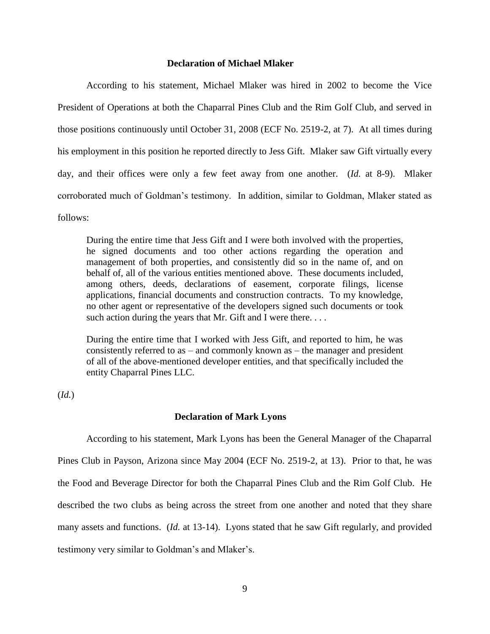### **Declaration of Michael Mlaker**

According to his statement, Michael Mlaker was hired in 2002 to become the Vice President of Operations at both the Chaparral Pines Club and the Rim Golf Club, and served in those positions continuously until October 31, 2008 (ECF No. 2519-2, at 7). At all times during his employment in this position he reported directly to Jess Gift. Mlaker saw Gift virtually every day, and their offices were only a few feet away from one another. (*Id.* at 8-9). Mlaker corroborated much of Goldman's testimony. In addition, similar to Goldman, Mlaker stated as follows:

During the entire time that Jess Gift and I were both involved with the properties, he signed documents and too other actions regarding the operation and management of both properties, and consistently did so in the name of, and on behalf of, all of the various entities mentioned above. These documents included, among others, deeds, declarations of easement, corporate filings, license applications, financial documents and construction contracts. To my knowledge, no other agent or representative of the developers signed such documents or took such action during the years that Mr. Gift and I were there....

During the entire time that I worked with Jess Gift, and reported to him, he was consistently referred to as  $-$  and commonly known as  $-$  the manager and president of all of the above-mentioned developer entities, and that specifically included the entity Chaparral Pines LLC.

(*Id.*)

#### **Declaration of Mark Lyons**

According to his statement, Mark Lyons has been the General Manager of the Chaparral Pines Club in Payson, Arizona since May 2004 (ECF No. 2519-2, at 13). Prior to that, he was the Food and Beverage Director for both the Chaparral Pines Club and the Rim Golf Club. He described the two clubs as being across the street from one another and noted that they share many assets and functions. (*Id.* at 13-14). Lyons stated that he saw Gift regularly, and provided testimony very similar to Goldman's and Mlaker's.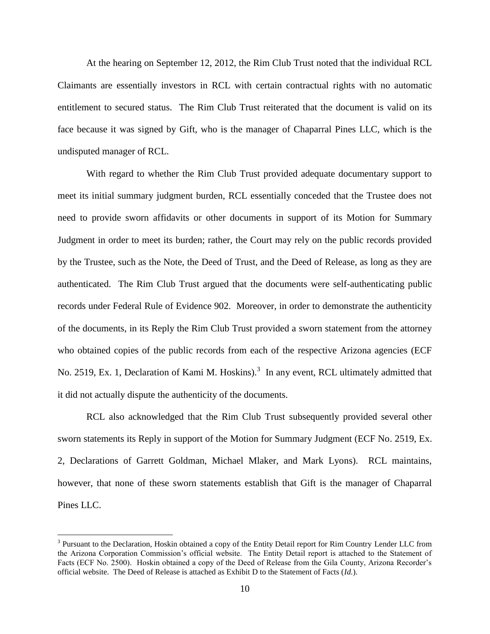At the hearing on September 12, 2012, the Rim Club Trust noted that the individual RCL Claimants are essentially investors in RCL with certain contractual rights with no automatic entitlement to secured status. The Rim Club Trust reiterated that the document is valid on its face because it was signed by Gift, who is the manager of Chaparral Pines LLC, which is the undisputed manager of RCL.

With regard to whether the Rim Club Trust provided adequate documentary support to meet its initial summary judgment burden, RCL essentially conceded that the Trustee does not need to provide sworn affidavits or other documents in support of its Motion for Summary Judgment in order to meet its burden; rather, the Court may rely on the public records provided by the Trustee, such as the Note, the Deed of Trust, and the Deed of Release, as long as they are authenticated. The Rim Club Trust argued that the documents were self-authenticating public records under Federal Rule of Evidence 902. Moreover, in order to demonstrate the authenticity of the documents, in its Reply the Rim Club Trust provided a sworn statement from the attorney who obtained copies of the public records from each of the respective Arizona agencies (ECF No. 2519, Ex. 1, Declaration of Kami M. Hoskins).<sup>3</sup> In any event, RCL ultimately admitted that it did not actually dispute the authenticity of the documents.

RCL also acknowledged that the Rim Club Trust subsequently provided several other sworn statements its Reply in support of the Motion for Summary Judgment (ECF No. 2519, Ex. 2, Declarations of Garrett Goldman, Michael Mlaker, and Mark Lyons). RCL maintains, however, that none of these sworn statements establish that Gift is the manager of Chaparral Pines LLC.

<sup>&</sup>lt;sup>3</sup> Pursuant to the Declaration, Hoskin obtained a copy of the Entity Detail report for Rim Country Lender LLC from the Arizona Corporation Commission's official website. The Entity Detail report is attached to the Statement of Facts (ECF No. 2500). Hoskin obtained a copy of the Deed of Release from the Gila County, Arizona Recorder's official website. The Deed of Release is attached as Exhibit D to the Statement of Facts (*Id.*).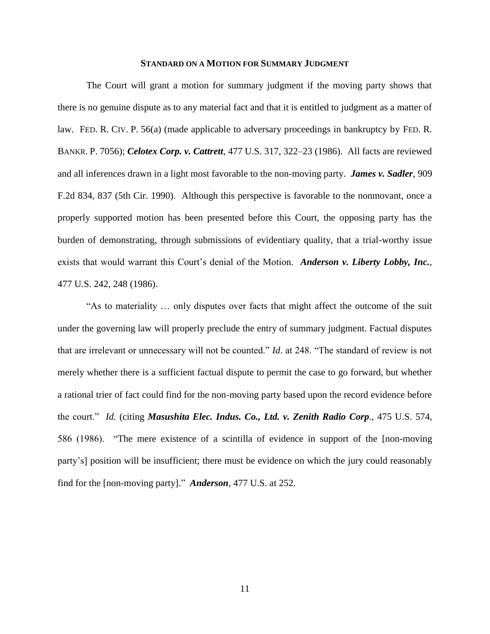### **STANDARD ON A MOTION FOR SUMMARY JUDGMENT**

The Court will grant a motion for summary judgment if the moving party shows that there is no genuine dispute as to any material fact and that it is entitled to judgment as a matter of law. FED. R. CIV. P. 56(a) (made applicable to adversary proceedings in bankruptcy by FED. R. BANKR. P. 7056); *Celotex Corp. v. Cattrett*, 477 U.S. 317, 322–23 (1986). All facts are reviewed and all inferences drawn in a light most favorable to the non-moving party. *James v. Sadler*, 909 F.2d 834, 837 (5th Cir. 1990). Although this perspective is favorable to the nonmovant, once a properly supported motion has been presented before this Court, the opposing party has the burden of demonstrating, through submissions of evidentiary quality, that a trial-worthy issue exists that would warrant this Court's denial of the Motion. *Anderson v. Liberty Lobby, Inc.*, 477 U.S. 242, 248 (1986).

"As to materiality … only disputes over facts that might affect the outcome of the suit under the governing law will properly preclude the entry of summary judgment. Factual disputes that are irrelevant or unnecessary will not be counted." *Id*. at 248. "The standard of review is not merely whether there is a sufficient factual dispute to permit the case to go forward, but whether a rational trier of fact could find for the non-moving party based upon the record evidence before the court." *Id.* (citing *Masushita Elec. Indus. Co., Ltd. v. Zenith Radio Corp.*, 475 U.S. 574, 586 (1986). "The mere existence of a scintilla of evidence in support of the [non-moving party's] position will be insufficient; there must be evidence on which the jury could reasonably find for the [non-moving party]." *Anderson*, 477 U.S. at 252.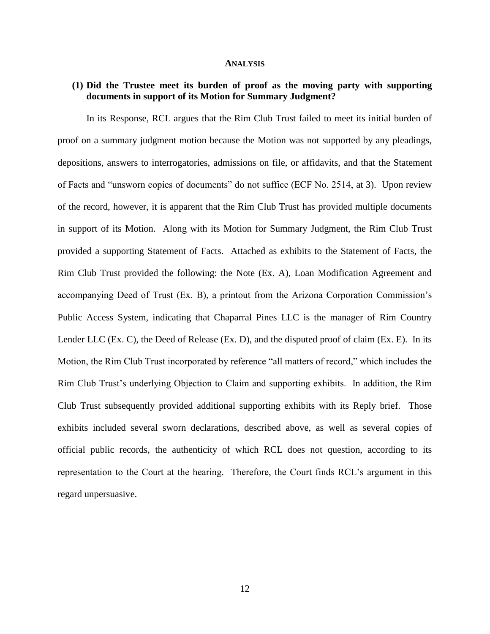#### **ANALYSIS**

### **(1) Did the Trustee meet its burden of proof as the moving party with supporting documents in support of its Motion for Summary Judgment?**

In its Response, RCL argues that the Rim Club Trust failed to meet its initial burden of proof on a summary judgment motion because the Motion was not supported by any pleadings, depositions, answers to interrogatories, admissions on file, or affidavits, and that the Statement of Facts and "unsworn copies of documents" do not suffice (ECF No. 2514, at 3). Upon review of the record, however, it is apparent that the Rim Club Trust has provided multiple documents in support of its Motion. Along with its Motion for Summary Judgment, the Rim Club Trust provided a supporting Statement of Facts. Attached as exhibits to the Statement of Facts, the Rim Club Trust provided the following: the Note (Ex. A), Loan Modification Agreement and accompanying Deed of Trust (Ex. B), a printout from the Arizona Corporation Commission's Public Access System, indicating that Chaparral Pines LLC is the manager of Rim Country Lender LLC (Ex. C), the Deed of Release (Ex. D), and the disputed proof of claim (Ex. E). In its Motion, the Rim Club Trust incorporated by reference "all matters of record," which includes the Rim Club Trust's underlying Objection to Claim and supporting exhibits. In addition, the Rim Club Trust subsequently provided additional supporting exhibits with its Reply brief. Those exhibits included several sworn declarations, described above, as well as several copies of official public records, the authenticity of which RCL does not question, according to its representation to the Court at the hearing. Therefore, the Court finds RCL's argument in this regard unpersuasive.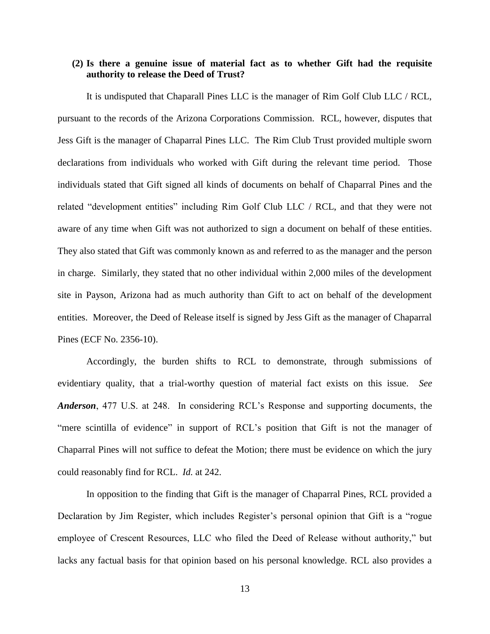## **(2) Is there a genuine issue of material fact as to whether Gift had the requisite authority to release the Deed of Trust?**

It is undisputed that Chaparall Pines LLC is the manager of Rim Golf Club LLC / RCL, pursuant to the records of the Arizona Corporations Commission. RCL, however, disputes that Jess Gift is the manager of Chaparral Pines LLC. The Rim Club Trust provided multiple sworn declarations from individuals who worked with Gift during the relevant time period. Those individuals stated that Gift signed all kinds of documents on behalf of Chaparral Pines and the related "development entities" including Rim Golf Club LLC / RCL, and that they were not aware of any time when Gift was not authorized to sign a document on behalf of these entities. They also stated that Gift was commonly known as and referred to as the manager and the person in charge. Similarly, they stated that no other individual within 2,000 miles of the development site in Payson, Arizona had as much authority than Gift to act on behalf of the development entities. Moreover, the Deed of Release itself is signed by Jess Gift as the manager of Chaparral Pines (ECF No. 2356-10).

Accordingly, the burden shifts to RCL to demonstrate, through submissions of evidentiary quality, that a trial-worthy question of material fact exists on this issue. *See Anderson*, 477 U.S. at 248. In considering RCL's Response and supporting documents, the "mere scintilla of evidence" in support of RCL's position that Gift is not the manager of Chaparral Pines will not suffice to defeat the Motion; there must be evidence on which the jury could reasonably find for RCL. *Id.* at 242.

In opposition to the finding that Gift is the manager of Chaparral Pines, RCL provided a Declaration by Jim Register, which includes Register's personal opinion that Gift is a "rogue employee of Crescent Resources, LLC who filed the Deed of Release without authority," but lacks any factual basis for that opinion based on his personal knowledge. RCL also provides a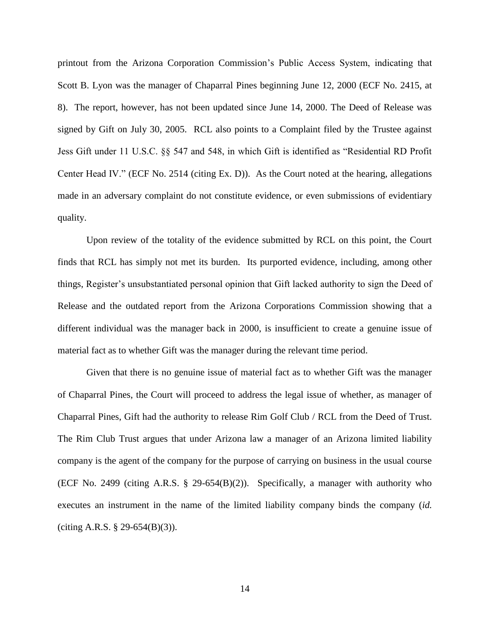printout from the Arizona Corporation Commission's Public Access System, indicating that Scott B. Lyon was the manager of Chaparral Pines beginning June 12, 2000 (ECF No. 2415, at 8). The report, however, has not been updated since June 14, 2000. The Deed of Release was signed by Gift on July 30, 2005. RCL also points to a Complaint filed by the Trustee against Jess Gift under 11 U.S.C. §§ 547 and 548, in which Gift is identified as "Residential RD Profit Center Head IV." (ECF No. 2514 (citing Ex. D)). As the Court noted at the hearing, allegations made in an adversary complaint do not constitute evidence, or even submissions of evidentiary quality.

Upon review of the totality of the evidence submitted by RCL on this point, the Court finds that RCL has simply not met its burden. Its purported evidence, including, among other things, Register's unsubstantiated personal opinion that Gift lacked authority to sign the Deed of Release and the outdated report from the Arizona Corporations Commission showing that a different individual was the manager back in 2000, is insufficient to create a genuine issue of material fact as to whether Gift was the manager during the relevant time period.

Given that there is no genuine issue of material fact as to whether Gift was the manager of Chaparral Pines, the Court will proceed to address the legal issue of whether, as manager of Chaparral Pines, Gift had the authority to release Rim Golf Club / RCL from the Deed of Trust. The Rim Club Trust argues that under Arizona law a manager of an Arizona limited liability company is the agent of the company for the purpose of carrying on business in the usual course (ECF No. 2499 (citing A.R.S. § 29-654(B)(2)). Specifically, a manager with authority who executes an instrument in the name of the limited liability company binds the company (*id.* (citing A.R.S. § 29-654(B)(3)).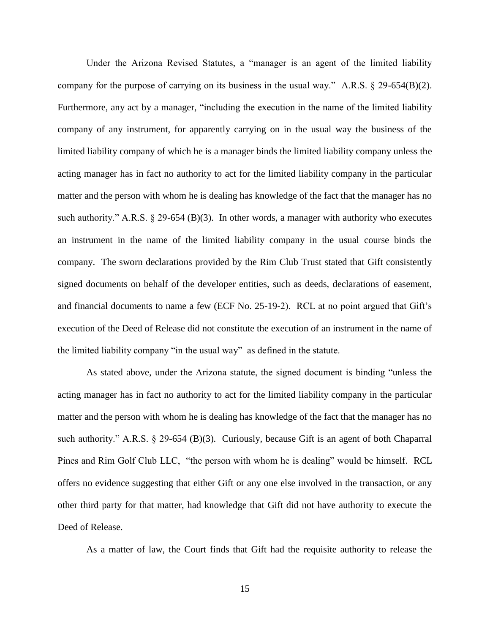Under the Arizona Revised Statutes, a "manager is an agent of the limited liability company for the purpose of carrying on its business in the usual way." A.R.S. § 29-654(B)(2). Furthermore, any act by a manager, "including the execution in the name of the limited liability company of any instrument, for apparently carrying on in the usual way the business of the limited liability company of which he is a manager binds the limited liability company unless the acting manager has in fact no authority to act for the limited liability company in the particular matter and the person with whom he is dealing has knowledge of the fact that the manager has no such authority." A.R.S. § 29-654 (B)(3). In other words, a manager with authority who executes an instrument in the name of the limited liability company in the usual course binds the company. The sworn declarations provided by the Rim Club Trust stated that Gift consistently signed documents on behalf of the developer entities, such as deeds, declarations of easement, and financial documents to name a few (ECF No. 25-19-2). RCL at no point argued that Gift's execution of the Deed of Release did not constitute the execution of an instrument in the name of the limited liability company "in the usual way" as defined in the statute.

As stated above, under the Arizona statute, the signed document is binding "unless the acting manager has in fact no authority to act for the limited liability company in the particular matter and the person with whom he is dealing has knowledge of the fact that the manager has no such authority." A.R.S. § 29-654 (B)(3). Curiously, because Gift is an agent of both Chaparral Pines and Rim Golf Club LLC, "the person with whom he is dealing" would be himself. RCL offers no evidence suggesting that either Gift or any one else involved in the transaction, or any other third party for that matter, had knowledge that Gift did not have authority to execute the Deed of Release.

As a matter of law, the Court finds that Gift had the requisite authority to release the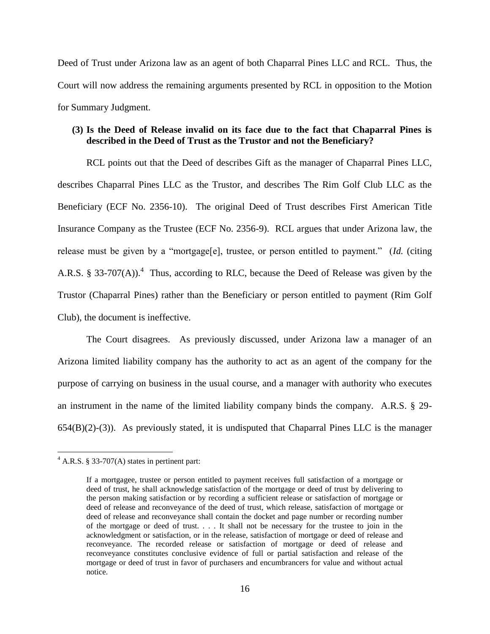Deed of Trust under Arizona law as an agent of both Chaparral Pines LLC and RCL. Thus, the Court will now address the remaining arguments presented by RCL in opposition to the Motion for Summary Judgment.

## **(3) Is the Deed of Release invalid on its face due to the fact that Chaparral Pines is described in the Deed of Trust as the Trustor and not the Beneficiary?**

RCL points out that the Deed of describes Gift as the manager of Chaparral Pines LLC, describes Chaparral Pines LLC as the Trustor, and describes The Rim Golf Club LLC as the Beneficiary (ECF No. 2356-10). The original Deed of Trust describes First American Title Insurance Company as the Trustee (ECF No. 2356-9). RCL argues that under Arizona law, the release must be given by a "mortgage[e], trustee, or person entitled to payment." (*Id.* (citing A.R.S. § 33-707(A)).<sup>4</sup> Thus, according to RLC, because the Deed of Release was given by the Trustor (Chaparral Pines) rather than the Beneficiary or person entitled to payment (Rim Golf Club), the document is ineffective.

The Court disagrees. As previously discussed, under Arizona law a manager of an Arizona limited liability company has the authority to act as an agent of the company for the purpose of carrying on business in the usual course, and a manager with authority who executes an instrument in the name of the limited liability company binds the company. A.R.S. § 29- 654(B)(2)-(3)). As previously stated, it is undisputed that Chaparral Pines LLC is the manager

 $4$  A.R.S. § 33-707(A) states in pertinent part:

If a mortgagee, trustee or person entitled to payment receives full satisfaction of a mortgage or deed of trust, he shall acknowledge satisfaction of the mortgage or deed of trust by delivering to the person making satisfaction or by recording a sufficient release or satisfaction of mortgage or deed of release and reconveyance of the deed of trust, which release, satisfaction of mortgage or deed of release and reconveyance shall contain the docket and page number or recording number of the mortgage or deed of trust. . . . It shall not be necessary for the trustee to join in the acknowledgment or satisfaction, or in the release, satisfaction of mortgage or deed of release and reconveyance. The recorded release or satisfaction of mortgage or deed of release and reconveyance constitutes conclusive evidence of full or partial satisfaction and release of the mortgage or deed of trust in favor of purchasers and encumbrancers for value and without actual notice.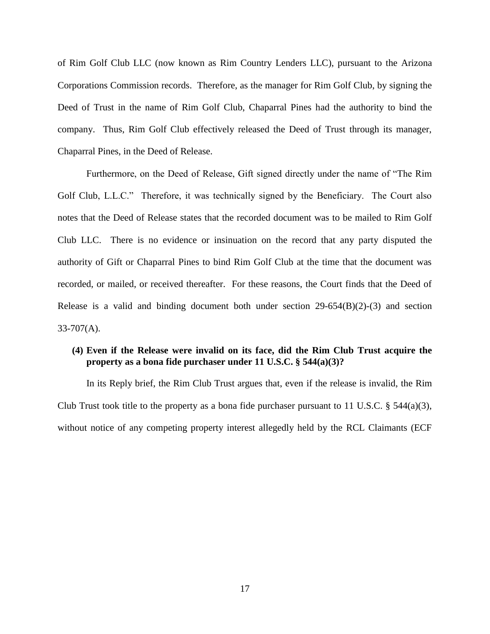of Rim Golf Club LLC (now known as Rim Country Lenders LLC), pursuant to the Arizona Corporations Commission records. Therefore, as the manager for Rim Golf Club, by signing the Deed of Trust in the name of Rim Golf Club, Chaparral Pines had the authority to bind the company. Thus, Rim Golf Club effectively released the Deed of Trust through its manager, Chaparral Pines, in the Deed of Release.

Furthermore, on the Deed of Release, Gift signed directly under the name of "The Rim Golf Club, L.L.C." Therefore, it was technically signed by the Beneficiary. The Court also notes that the Deed of Release states that the recorded document was to be mailed to Rim Golf Club LLC. There is no evidence or insinuation on the record that any party disputed the authority of Gift or Chaparral Pines to bind Rim Golf Club at the time that the document was recorded, or mailed, or received thereafter. For these reasons, the Court finds that the Deed of Release is a valid and binding document both under section 29-654(B)(2)-(3) and section  $33-707(A)$ .

# **(4) Even if the Release were invalid on its face, did the Rim Club Trust acquire the property as a bona fide purchaser under 11 U.S.C. § 544(a)(3)?**

In its Reply brief, the Rim Club Trust argues that, even if the release is invalid, the Rim Club Trust took title to the property as a bona fide purchaser pursuant to 11 U.S.C. § 544(a)(3), without notice of any competing property interest allegedly held by the RCL Claimants (ECF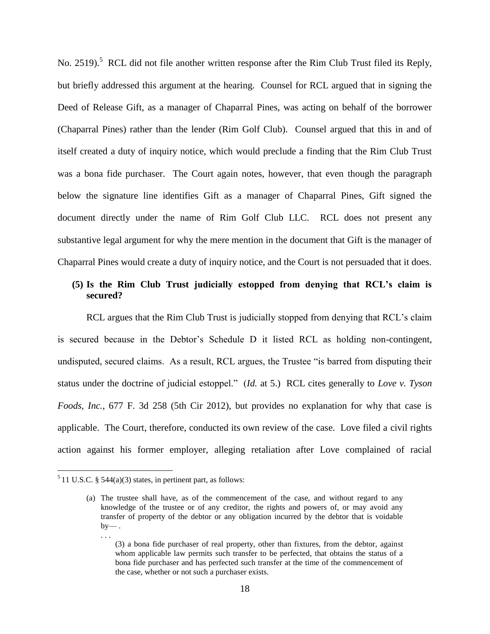No. 2519).<sup>5</sup> RCL did not file another written response after the Rim Club Trust filed its Reply, but briefly addressed this argument at the hearing. Counsel for RCL argued that in signing the Deed of Release Gift, as a manager of Chaparral Pines, was acting on behalf of the borrower (Chaparral Pines) rather than the lender (Rim Golf Club). Counsel argued that this in and of itself created a duty of inquiry notice, which would preclude a finding that the Rim Club Trust was a bona fide purchaser. The Court again notes, however, that even though the paragraph below the signature line identifies Gift as a manager of Chaparral Pines, Gift signed the document directly under the name of Rim Golf Club LLC. RCL does not present any substantive legal argument for why the mere mention in the document that Gift is the manager of Chaparral Pines would create a duty of inquiry notice, and the Court is not persuaded that it does.

## **(5) Is the Rim Club Trust judicially estopped from denying that RCL's claim is secured?**

RCL argues that the Rim Club Trust is judicially stopped from denying that RCL's claim is secured because in the Debtor's Schedule D it listed RCL as holding non-contingent, undisputed, secured claims. As a result, RCL argues, the Trustee "is barred from disputing their status under the doctrine of judicial estoppel." (*Id.* at 5.) RCL cites generally to *Love v. Tyson Foods, Inc.*, 677 F. 3d 258 (5th Cir 2012), but provides no explanation for why that case is applicable. The Court, therefore, conducted its own review of the case. Love filed a civil rights action against his former employer, alleging retaliation after Love complained of racial

 $5$  11 U.S.C. § 544(a)(3) states, in pertinent part, as follows:

<sup>(</sup>a) The trustee shall have, as of the commencement of the case, and without regard to any knowledge of the trustee or of any creditor, the rights and powers of, or may avoid any transfer of property of the debtor or any obligation incurred by the debtor that is voidable  $by-$ .

<sup>(3)</sup> a bona fide purchaser of real property, other than fixtures, from the debtor, against whom applicable law permits such transfer to be perfected, that obtains the status of a bona fide purchaser and has perfected such transfer at the time of the commencement of the case, whether or not such a purchaser exists.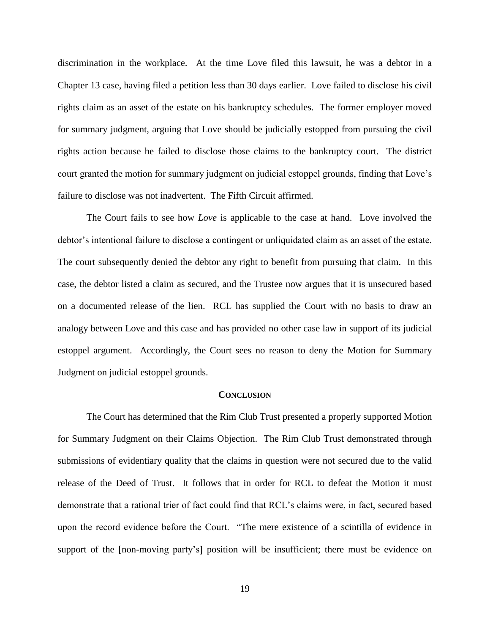discrimination in the workplace. At the time Love filed this lawsuit, he was a debtor in a Chapter 13 case, having filed a petition less than 30 days earlier. Love failed to disclose his civil rights claim as an asset of the estate on his bankruptcy schedules. The former employer moved for summary judgment, arguing that Love should be judicially estopped from pursuing the civil rights action because he failed to disclose those claims to the bankruptcy court. The district court granted the motion for summary judgment on judicial estoppel grounds, finding that Love's failure to disclose was not inadvertent. The Fifth Circuit affirmed.

The Court fails to see how *Love* is applicable to the case at hand. Love involved the debtor's intentional failure to disclose a contingent or unliquidated claim as an asset of the estate. The court subsequently denied the debtor any right to benefit from pursuing that claim. In this case, the debtor listed a claim as secured, and the Trustee now argues that it is unsecured based on a documented release of the lien. RCL has supplied the Court with no basis to draw an analogy between Love and this case and has provided no other case law in support of its judicial estoppel argument. Accordingly, the Court sees no reason to deny the Motion for Summary Judgment on judicial estoppel grounds.

#### **CONCLUSION**

The Court has determined that the Rim Club Trust presented a properly supported Motion for Summary Judgment on their Claims Objection. The Rim Club Trust demonstrated through submissions of evidentiary quality that the claims in question were not secured due to the valid release of the Deed of Trust. It follows that in order for RCL to defeat the Motion it must demonstrate that a rational trier of fact could find that RCL's claims were, in fact, secured based upon the record evidence before the Court. "The mere existence of a scintilla of evidence in support of the [non-moving party's] position will be insufficient; there must be evidence on